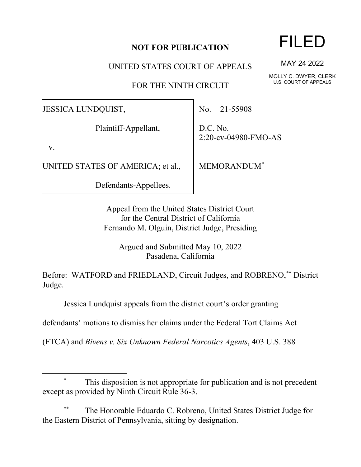## **NOT FOR PUBLICATION**

UNITED STATES COURT OF APPEALS

FOR THE NINTH CIRCUIT

JESSICA LUNDQUIST,

Plaintiff-Appellant,

v.

UNITED STATES OF AMERICA; et al.,

Defendants-Appellees.

No. 21-55908

D.C. No. 2:20-cv-04980-FMO-AS

MEMORANDUM\*

Appeal from the United States District Court for the Central District of California Fernando M. Olguin, District Judge, Presiding

Argued and Submitted May 10, 2022 Pasadena, California

Before: WATFORD and FRIEDLAND, Circuit Judges, and ROBRENO,\*\* District Judge.

Jessica Lundquist appeals from the district court's order granting

defendants' motions to dismiss her claims under the Federal Tort Claims Act

(FTCA) and *Bivens v. Six Unknown Federal Narcotics Agents*, 403 U.S. 388

## This disposition is not appropriate for publication and is not precedent except as provided by Ninth Circuit Rule 36-3.

The Honorable Eduardo C. Robreno, United States District Judge for the Eastern District of Pennsylvania, sitting by designation.

## FILED

MAY 24 2022

MOLLY C. DWYER, CLERK U.S. COURT OF APPEALS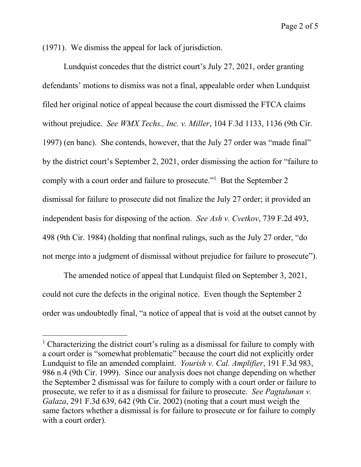Page 2 of 5

(1971). We dismiss the appeal for lack of jurisdiction.

Lundquist concedes that the district court's July 27, 2021, order granting defendants' motions to dismiss was not a final, appealable order when Lundquist filed her original notice of appeal because the court dismissed the FTCA claims without prejudice. *See WMX Techs., Inc. v. Miller*, 104 F.3d 1133, 1136 (9th Cir. 1997) (en banc). She contends, however, that the July 27 order was "made final" by the district court's September 2, 2021, order dismissing the action for "failure to comply with a court order and failure to prosecute."<sup>1</sup> But the September 2 dismissal for failure to prosecute did not finalize the July 27 order; it provided an independent basis for disposing of the action. *See Ash v. Cvetkov*, 739 F.2d 493, 498 (9th Cir. 1984) (holding that nonfinal rulings, such as the July 27 order, "do not merge into a judgment of dismissal without prejudice for failure to prosecute").

The amended notice of appeal that Lundquist filed on September 3, 2021, could not cure the defects in the original notice. Even though the September 2 order was undoubtedly final, "a notice of appeal that is void at the outset cannot by

<sup>&</sup>lt;sup>1</sup> Characterizing the district court's ruling as a dismissal for failure to comply with a court order is "somewhat problematic" because the court did not explicitly order Lundquist to file an amended complaint. *Yourish v. Cal. Amplifier*, 191 F.3d 983, 986 n.4 (9th Cir. 1999). Since our analysis does not change depending on whether the September 2 dismissal was for failure to comply with a court order or failure to prosecute, we refer to it as a dismissal for failure to prosecute. *See Pagtalunan v. Galaza*, 291 F.3d 639, 642 (9th Cir. 2002) (noting that a court must weigh the same factors whether a dismissal is for failure to prosecute or for failure to comply with a court order).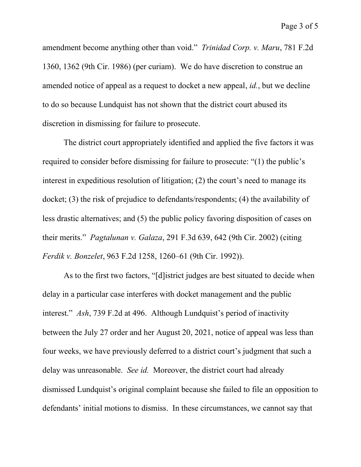amendment become anything other than void." *Trinidad Corp. v. Maru*, 781 F.2d 1360, 1362 (9th Cir. 1986) (per curiam). We do have discretion to construe an amended notice of appeal as a request to docket a new appeal, *id.*, but we decline to do so because Lundquist has not shown that the district court abused its discretion in dismissing for failure to prosecute.

The district court appropriately identified and applied the five factors it was required to consider before dismissing for failure to prosecute: "(1) the public's interest in expeditious resolution of litigation; (2) the court's need to manage its docket; (3) the risk of prejudice to defendants/respondents; (4) the availability of less drastic alternatives; and (5) the public policy favoring disposition of cases on their merits." *Pagtalunan v. Galaza*, 291 F.3d 639, 642 (9th Cir. 2002) (citing *Ferdik v. Bonzelet*, 963 F.2d 1258, 1260–61 (9th Cir. 1992)).

As to the first two factors, "[d]istrict judges are best situated to decide when delay in a particular case interferes with docket management and the public interest." *Ash*, 739 F.2d at 496. Although Lundquist's period of inactivity between the July 27 order and her August 20, 2021, notice of appeal was less than four weeks, we have previously deferred to a district court's judgment that such a delay was unreasonable. *See id.* Moreover, the district court had already dismissed Lundquist's original complaint because she failed to file an opposition to defendants' initial motions to dismiss. In these circumstances, we cannot say that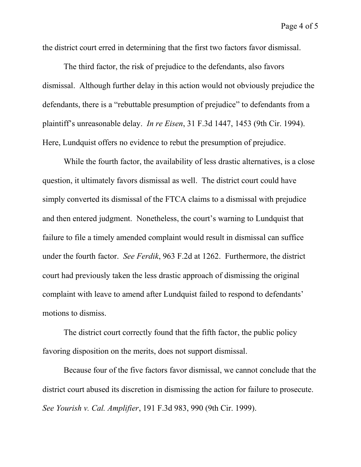the district court erred in determining that the first two factors favor dismissal.

The third factor, the risk of prejudice to the defendants, also favors dismissal. Although further delay in this action would not obviously prejudice the defendants, there is a "rebuttable presumption of prejudice" to defendants from a plaintiff's unreasonable delay. *In re Eisen*, 31 F.3d 1447, 1453 (9th Cir. 1994). Here, Lundquist offers no evidence to rebut the presumption of prejudice.

While the fourth factor, the availability of less drastic alternatives, is a close question, it ultimately favors dismissal as well. The district court could have simply converted its dismissal of the FTCA claims to a dismissal with prejudice and then entered judgment. Nonetheless, the court's warning to Lundquist that failure to file a timely amended complaint would result in dismissal can suffice under the fourth factor. *See Ferdik*, 963 F.2d at 1262. Furthermore, the district court had previously taken the less drastic approach of dismissing the original complaint with leave to amend after Lundquist failed to respond to defendants' motions to dismiss.

The district court correctly found that the fifth factor, the public policy favoring disposition on the merits, does not support dismissal.

Because four of the five factors favor dismissal, we cannot conclude that the district court abused its discretion in dismissing the action for failure to prosecute. *See Yourish v. Cal. Amplifier*, 191 F.3d 983, 990 (9th Cir. 1999).